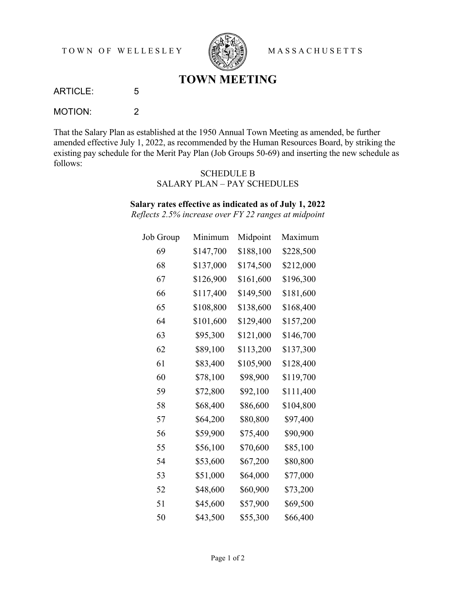TOWN OF WELLESLEY **SEEVERS** MASSACHUSETTS



## **TOWN MEETING**

ARTICLE: 5

MOTION: 2

That the Salary Plan as established at the 1950 Annual Town Meeting as amended, be further amended effective July 1, 2022, as recommended by the Human Resources Board, by striking the existing pay schedule for the Merit Pay Plan (Job Groups 50-69) and inserting the new schedule as follows:

## SCHEDULE B SALARY PLAN – PAY SCHEDULES

## **Salary rates effective as indicated as of July 1, 2022**

*Reflects 2.5% increase over FY 22 ranges at midpoint* 

| Job Group | Minimum   | Midpoint  | Maximum   |
|-----------|-----------|-----------|-----------|
| 69        | \$147,700 | \$188,100 | \$228,500 |
| 68        | \$137,000 | \$174,500 | \$212,000 |
| 67        | \$126,900 | \$161,600 | \$196,300 |
| 66        | \$117,400 | \$149,500 | \$181,600 |
| 65        | \$108,800 | \$138,600 | \$168,400 |
| 64        | \$101,600 | \$129,400 | \$157,200 |
| 63        | \$95,300  | \$121,000 | \$146,700 |
| 62        | \$89,100  | \$113,200 | \$137,300 |
| 61        | \$83,400  | \$105,900 | \$128,400 |
| 60        | \$78,100  | \$98,900  | \$119,700 |
| 59        | \$72,800  | \$92,100  | \$111,400 |
| 58        | \$68,400  | \$86,600  | \$104,800 |
| 57        | \$64,200  | \$80,800  | \$97,400  |
| 56        | \$59,900  | \$75,400  | \$90,900  |
| 55        | \$56,100  | \$70,600  | \$85,100  |
| 54        | \$53,600  | \$67,200  | \$80,800  |
| 53        | \$51,000  | \$64,000  | \$77,000  |
| 52        | \$48,600  | \$60,900  | \$73,200  |
| 51        | \$45,600  | \$57,900  | \$69,500  |
| 50        | \$43,500  | \$55,300  | \$66,400  |